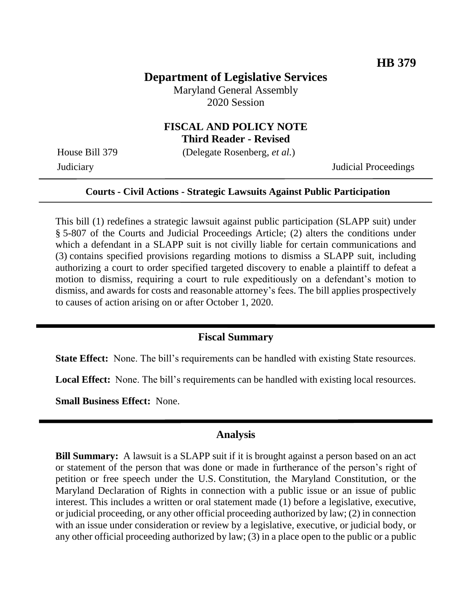## **Department of Legislative Services**

Maryland General Assembly 2020 Session

# **FISCAL AND POLICY NOTE**

**Third Reader - Revised**

House Bill 379 (Delegate Rosenberg, *et al.*)

Judiciary Judicial Proceedings

### **Courts - Civil Actions - Strategic Lawsuits Against Public Participation**

This bill (1) redefines a strategic lawsuit against public participation (SLAPP suit) under § 5-807 of the Courts and Judicial Proceedings Article; (2) alters the conditions under which a defendant in a SLAPP suit is not civilly liable for certain communications and (3) contains specified provisions regarding motions to dismiss a SLAPP suit, including authorizing a court to order specified targeted discovery to enable a plaintiff to defeat a motion to dismiss, requiring a court to rule expeditiously on a defendant's motion to dismiss, and awards for costs and reasonable attorney's fees. The bill applies prospectively to causes of action arising on or after October 1, 2020.

### **Fiscal Summary**

**State Effect:** None. The bill's requirements can be handled with existing State resources.

**Local Effect:** None. The bill's requirements can be handled with existing local resources.

**Small Business Effect:** None.

#### **Analysis**

**Bill Summary:** A lawsuit is a SLAPP suit if it is brought against a person based on an act or statement of the person that was done or made in furtherance of the person's right of petition or free speech under the U.S. Constitution, the Maryland Constitution, or the Maryland Declaration of Rights in connection with a public issue or an issue of public interest. This includes a written or oral statement made (1) before a legislative, executive, or judicial proceeding, or any other official proceeding authorized by law; (2) in connection with an issue under consideration or review by a legislative, executive, or judicial body, or any other official proceeding authorized by law; (3) in a place open to the public or a public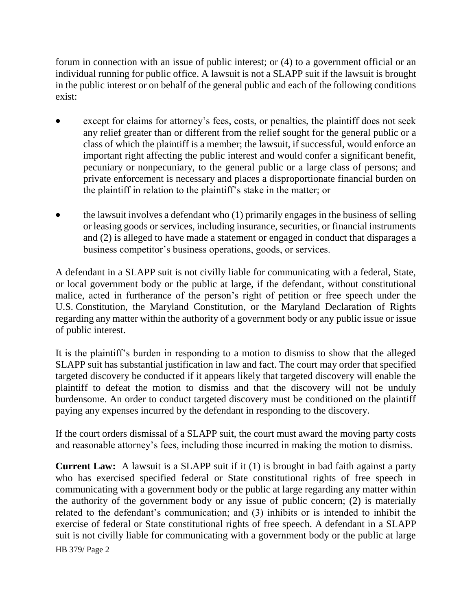forum in connection with an issue of public interest; or (4) to a government official or an individual running for public office. A lawsuit is not a SLAPP suit if the lawsuit is brought in the public interest or on behalf of the general public and each of the following conditions exist:

- except for claims for attorney's fees, costs, or penalties, the plaintiff does not seek any relief greater than or different from the relief sought for the general public or a class of which the plaintiff is a member; the lawsuit, if successful, would enforce an important right affecting the public interest and would confer a significant benefit, pecuniary or nonpecuniary, to the general public or a large class of persons; and private enforcement is necessary and places a disproportionate financial burden on the plaintiff in relation to the plaintiff's stake in the matter; or
- the lawsuit involves a defendant who (1) primarily engages in the business of selling or leasing goods or services, including insurance, securities, or financial instruments and (2) is alleged to have made a statement or engaged in conduct that disparages a business competitor's business operations, goods, or services.

A defendant in a SLAPP suit is not civilly liable for communicating with a federal, State, or local government body or the public at large, if the defendant, without constitutional malice, acted in furtherance of the person's right of petition or free speech under the U.S. Constitution, the Maryland Constitution, or the Maryland Declaration of Rights regarding any matter within the authority of a government body or any public issue or issue of public interest.

It is the plaintiff's burden in responding to a motion to dismiss to show that the alleged SLAPP suit has substantial justification in law and fact. The court may order that specified targeted discovery be conducted if it appears likely that targeted discovery will enable the plaintiff to defeat the motion to dismiss and that the discovery will not be unduly burdensome. An order to conduct targeted discovery must be conditioned on the plaintiff paying any expenses incurred by the defendant in responding to the discovery.

If the court orders dismissal of a SLAPP suit, the court must award the moving party costs and reasonable attorney's fees, including those incurred in making the motion to dismiss.

HB 379/ Page 2 **Current Law:** A lawsuit is a SLAPP suit if it (1) is brought in bad faith against a party who has exercised specified federal or State constitutional rights of free speech in communicating with a government body or the public at large regarding any matter within the authority of the government body or any issue of public concern; (2) is materially related to the defendant's communication; and (3) inhibits or is intended to inhibit the exercise of federal or State constitutional rights of free speech. A defendant in a SLAPP suit is not civilly liable for communicating with a government body or the public at large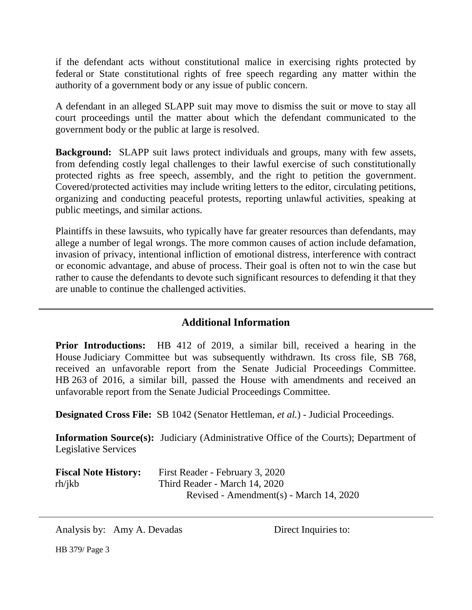if the defendant acts without constitutional malice in exercising rights protected by federal or State constitutional rights of free speech regarding any matter within the authority of a government body or any issue of public concern.

A defendant in an alleged SLAPP suit may move to dismiss the suit or move to stay all court proceedings until the matter about which the defendant communicated to the government body or the public at large is resolved.

**Background:** SLAPP suit laws protect individuals and groups, many with few assets, from defending costly legal challenges to their lawful exercise of such constitutionally protected rights as free speech, assembly, and the right to petition the government. Covered/protected activities may include writing letters to the editor, circulating petitions, organizing and conducting peaceful protests, reporting unlawful activities, speaking at public meetings, and similar actions.

Plaintiffs in these lawsuits, who typically have far greater resources than defendants, may allege a number of legal wrongs. The more common causes of action include defamation, invasion of privacy, intentional infliction of emotional distress, interference with contract or economic advantage, and abuse of process. Their goal is often not to win the case but rather to cause the defendants to devote such significant resources to defending it that they are unable to continue the challenged activities.

## **Additional Information**

**Prior Introductions:** HB 412 of 2019, a similar bill, received a hearing in the House Judiciary Committee but was subsequently withdrawn. Its cross file, SB 768, received an unfavorable report from the Senate Judicial Proceedings Committee. HB 263 of 2016, a similar bill, passed the House with amendments and received an unfavorable report from the Senate Judicial Proceedings Committee.

**Designated Cross File:** SB 1042 (Senator Hettleman, *et al.*) - Judicial Proceedings.

**Information Source(s):** Judiciary (Administrative Office of the Courts); Department of Legislative Services

| <b>Fiscal Note History:</b> | First Reader - February 3, 2020         |
|-----------------------------|-----------------------------------------|
| rh/ikb                      | Third Reader - March 14, 2020           |
|                             | Revised - Amendment(s) - March 14, 2020 |

Analysis by: Amy A. Devadas Direct Inquiries to:

HB 379/ Page 3